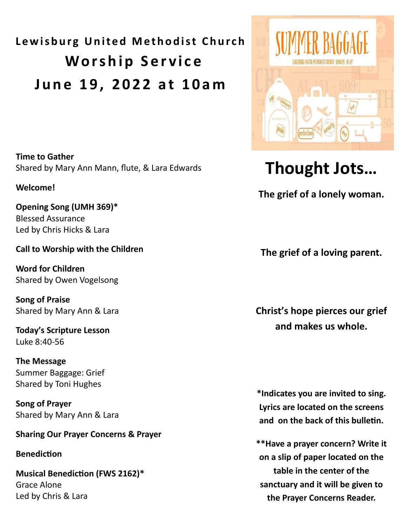# **Lewisburg United Methodist Church Worship Service J u n e 1 9 , 2 0 2 2 a t 1 0 a m**

**Time to Gather**  Shared by Mary Ann Mann, flute, & Lara Edwards

## **Welcome!**

**Opening Song (UMH 369)\*** Blessed Assurance Led by Chris Hicks & Lara

## **Call to Worship with the Children**

**Word for Children** Shared by Owen Vogelsong

**Song of Praise** Shared by Mary Ann & Lara

**Today's Scripture Lesson** Luke 8:40-56

**The Message** Summer Baggage: Grief Shared by Toni Hughes

**Song of Prayer** Shared by Mary Ann & Lara

## **Sharing Our Prayer Concerns & Prayer**

**Benediction**

**Musical Benediction (FWS 2162)\*** Grace Alone Led by Chris & Lara



## **Thought Jots…**

**The grief of a lonely woman.**

**The grief of a loving parent.** 

**Christ's hope pierces our grief and makes us whole.** 

**\*Indicates you are invited to sing. Lyrics are located on the screens and on the back of this bulletin.** 

**\*\*Have a prayer concern? Write it on a slip of paper located on the table in the center of the sanctuary and it will be given to the Prayer Concerns Reader.**